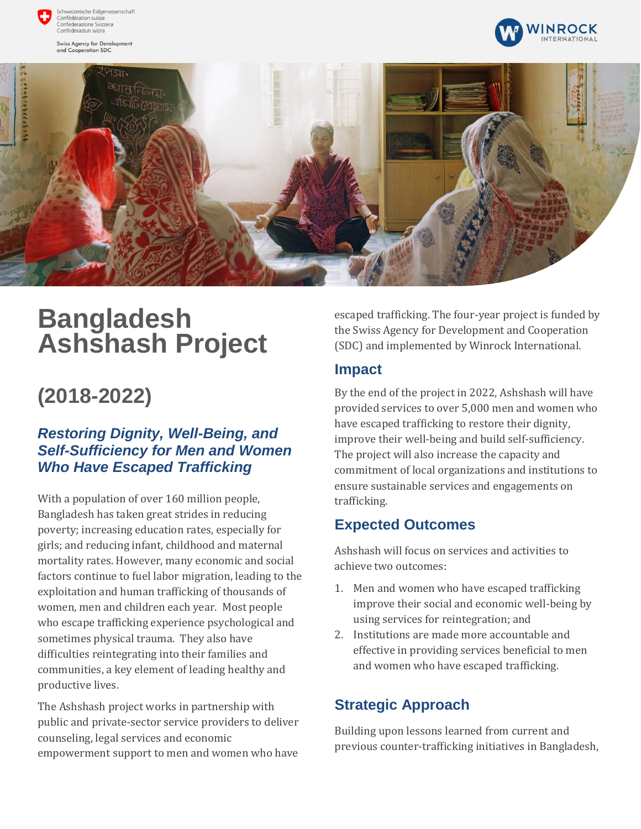

zerische Eidgenossenschaft Confédération suisse comederation saisse<br>Confederazione Svizzera<br>Confederaziun svizra

Swiss Agency for Development and Cooperation SDC





# **Bangladesh Ashshash Project**

## **(2018-2022)**

#### *Restoring Dignity, Well-Being, and Self-Sufficiency for Men and Women Who Have Escaped Trafficking*

With a population of over 160 million people, Bangladesh has taken great strides in reducing poverty; increasing education rates, especially for girls; and reducing infant, childhood and maternal mortality rates. However, many economic and social factors continue to fuel labor migration, leading to the exploitation and human trafficking of thousands of women, men and children each year. Most people who escape trafficking experience psychological and sometimes physical trauma. They also have difficulties reintegrating into their families and communities, a key element of leading healthy and productive lives.

The Ashshash project works in partnership with public and private-sector service providers to deliver counseling, legal services and economic empowerment support to men and women who have

escaped trafficking. The four-year project is funded by the Swiss Agency for Development and Cooperation (SDC) and implemented by Winrock International.

#### **Impact**

By the end of the project in 2022, Ashshash will have provided services to over 5,000 men and women who have escaped trafficking to restore their dignity, improve their well-being and build self-sufficiency. The project will also increase the capacity and commitment of local organizations and institutions to ensure sustainable services and engagements on trafficking.

#### **Expected Outcomes**

Ashshash will focus on services and activities to achieve two outcomes:

- 1. Men and women who have escaped trafficking improve their social and economic well-being by using services for reintegration; and
- 2. Institutions are made more accountable and effective in providing services beneficial to men and women who have escaped trafficking.

### **Strategic Approach**

Building upon lessons learned from current and previous counter-trafficking initiatives in Bangladesh,